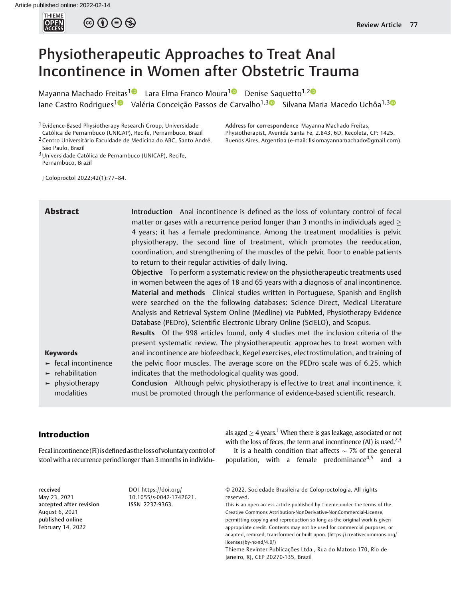

 $\circledcirc$   $\oplus$   $\circledcirc$ 

# Physiotherapeutic Approaches to Treat Anal Incontinence in Women after Obstetric Trauma

Mayanna Machado Freitas<sup>[1](https://orcid.org/0000-0001-7756-2536)0</sup> Lara Elma Franco Moura<sup>10</sup> Denise Saquetto<sup>1,20</sup> Iane Castro Rodrigues<sup>10</sup> Valéria Conceição Passos de Carvalho<sup>1,30</sup> Silvana Maria Macedo Uchôa<sup>1,30</sup>

1 Evidence-Based Physiotherapy Research Group, Universidade Católica de Pernambuco (UNICAP), Recife, Pernambuco, Brazil

2Centro Universitário Faculdade de Medicina do ABC, Santo André, São Paulo, Brazil

Address for correspondence Mayanna Machado Freitas, Physiotherapist, Avenida Santa Fe, 2.843, 6D, Recoleta, CP: 1425, Buenos Aires, Argentina (e-mail: fi[siomayannamachado@gmail.com\)](mailto:fisiomayannamachado@gmail.com).

<sup>3</sup> Universidade Católica de Pernambuco (UNICAP), Recife, Pernambuco, Brazil

J Coloproctol 2022;42(1):77–84.

**Abstract** Introduction Anal incontinence is defined as the loss of voluntary control of fecal matter or gases with a recurrence period longer than 3 months in individuals aged  $\geq$ 4 years; it has a female predominance. Among the treatment modalities is pelvic physiotherapy, the second line of treatment, which promotes the reeducation, coordination, and strengthening of the muscles of the pelvic floor to enable patients to return to their regular activities of daily living.

> Objective To perform a systematic review on the physiotherapeutic treatments used in women between the ages of 18 and 65 years with a diagnosis of anal incontinence. Material and methods Clinical studies written in Portuguese, Spanish and English were searched on the the following databases: Science Direct, Medical Literature Analysis and Retrieval System Online (Medline) via PubMed, Physiotherapy Evidence Database (PEDro), Scientific Electronic Library Online (SciELO), and Scopus.

> Results Of the 998 articles found, only 4 studies met the inclusion criteria of the present systematic review. The physiotherapeutic approaches to treat women with anal incontinence are biofeedback, Kegel exercises, electrostimulation, and training of the pelvic floor muscles. The average score on the PEDro scale was of 6.25, which

#### Keywords

- ► fecal incontinence
- $\blacktriangleright$  rehabilitation
- ► physiotherapy modalities

indicates that the methodological quality was good. Conclusion Although pelvic physiotherapy is effective to treat anal incontinence, it must be promoted through the performance of evidence-based scientific research.

# Introduction

Fecal incontinence (FI) is defined as the loss of voluntary control of stool with a recurrence period longer than 3 months in individu-

received May 23, 2021 accepted after revision August 6, 2021 published online February 14, 2022

DOI [https://doi.org/](https://doi.org/10.1055/s-0042-1742621) [10.1055/s-0042-1742621](https://doi.org/10.1055/s-0042-1742621). ISSN 2237-9363.

als aged  $>$  4 years.<sup>1</sup> When there is gas leakage, associated or not with the loss of feces, the term anal incontinence  $(AI)$  is used.<sup>2,3</sup>

It is a health condition that affects  $\sim$  7% of the general population, with a female predominance<sup>4,5</sup> and a

© 2022. Sociedade Brasileira de Coloproctologia. All rights reserved.

This is an open access article published by Thieme under the terms of the Creative Commons Attribution-NonDerivative-NonCommercial-License, permitting copying and reproduction so long as the original work is given appropriate credit. Contents may not be used for commercial purposes, or adapted, remixed, transformed or built upon. (https://creativecommons.org/ licenses/by-nc-nd/4.0/)

Thieme Revinter Publicações Ltda., Rua do Matoso 170, Rio de Janeiro, RJ, CEP 20270-135, Brazil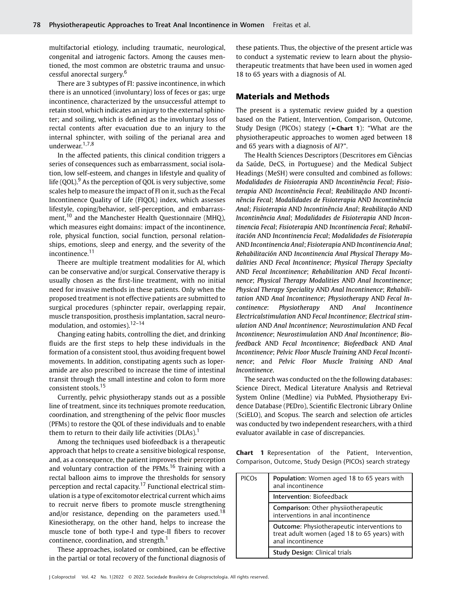multifactorial etiology, including traumatic, neurological, congenital and iatrogenic factors. Among the causes mentioned, the most common are obstetric trauma and unsuccessful anorectal surgery.<sup>6</sup>

There are 3 subtypes of FI: passive incontinence, in which there is an unnoticed (involuntary) loss of feces or gas; urge incontinence, characterized by the unsuccessful attempt to retain stool, which indicates an injury to the external sphincter; and soiling, which is defined as the involuntary loss of rectal contents after evacuation due to an injury to the internal sphincter, with soiling of the perianal area and underwear.<sup>1,7,8</sup>

In the affected patients, this clinical condition triggers a series of consequences such as embarrassment, social isolation, low self-esteem, and changes in lifestyle and quality of life (QOL). $9$  As the perception of QOL is very subjective, some scales help to measure the impact of FI on it, such as the Fecal Incontinence Quality of Life (FIQOL) index, which assesses lifestyle, coping/behavior, self-perception, and embarrassment,<sup>10</sup> and the Manchester Health Questionnaire (MHQ), which measures eight domains: impact of the incontinence, role, physical function, social function, personal relationships, emotions, sleep and energy, and the severity of the incontinence.<sup>11</sup>

Theere are multiple treatment modalities for AI, which can be conservative and/or surgical. Conservative therapy is usually chosen as the first-line treatment, with no initial need for invasive methods in these patients. Only when the proposed treatment is not effective patients are submitted to surgical procedures (sphincter repair, overlapping repair, muscle transposition, prosthesis implantation, sacral neuromodulation, and ostomies). $12-14$ 

Changing eating habits, controlling the diet, and drinking fluids are the first steps to help these individuals in the formation of a consistent stool, thus avoiding frequent bowel movements. In addition, constipating agents such as loperamide are also prescribed to increase the time of intestinal transit through the small intestine and colon to form more consistent stools.<sup>15</sup>

Currently, pelvic physiotherapy stands out as a possible line of treatment, since its techniques promote reeducation, coordination, and strengthening of the pelvic floor muscles (PFMs) to restore the QOL of these individuals and to enable them to return to their daily life activities (DLAs).<sup>1</sup>

Among the techniques used biofeedback is a therapeutic approach that helps to create a sensitive biological response, and, as a consequence, the patient improves their perception and voluntary contraction of the PFMs.<sup>16</sup> Training with a rectal balloon aims to improve the thresholds for sensory perception and rectal capacity.<sup>17</sup> Functional electrical stimulation is a type of excitomotor electrical current which aims to recruit nerve fibers to promote muscle strengthening and/or resistance, depending on the parameters used.<sup>18</sup> Kinesiotherapy, on the other hand, helps to increase the muscle tone of both type-I and type-II fibers to recover continence, coordination, and strength. $<sup>1</sup>$ </sup>

These approaches, isolated or combined, can be effective in the partial or total recovery of the functional diagnosis of these patients. Thus, the objective of the present article was to conduct a systematic review to learn about the physiotherapeutic treatments that have been used in women aged 18 to 65 years with a diagnosis of AI.

# Materials and Methods

The present is a systematic review guided by a question based on the Patient, Intervention, Comparison, Outcome, Study Design (PICOs) stategy (►Chart 1): "What are the physiotherapeutic approaches to women aged between 18 and 65 years with a diagnosis of AI?".

The Health Sciences Descriptors (Descritores em Ciências da Saúde, DeCS, in Portuguese) and the Medical Subject Headings (MeSH) were consulted and combined as follows: Modalidades de Fisioterapia AND Incontinência Fecal; Fisioterapia AND Incontinência Fecal; Reabilitação AND Incontinência Fecal; Modalidades de Fisioterapia AND Incontinência Anal; Fisioterapia AND Incontinência Anal; Reabilitação AND Incontinência Anal; Modalidades de Fisioterapia AND Incontinencia Fecal; Fisioterapia AND Incontinencia Fecal; Rehabilitación AND Incontinencia Fecal; Modalidades de Fisioterapia AND Incontinencia Anal; Fisioterapia AND Incontinencia Anal; Rehabilitación AND Incontinencia Anal Physical Therapy Modalities AND Fecal Incontinence; Physical Therapy Specialty AND Fecal Incontinence; Rehabilitation AND Fecal Incontinence; Physical Therapy Modalities AND Anal Incontinence; Physical Therapy Speciality AND Anal Incontinence; Rehabilitation AND Anal Incontinence; Physiotherapy AND Fecal Incontinence: Physiotherapy AND Anal Incontinence Electricalstimulation AND Fecal Incontinence; Electrical stimulation AND Anal Incontinence; Neurostimulation AND Fecal Incontinence; Neurostimulation AND Anal Incontinence; Biofeedback AND Fecal Incontinence; Biofeedback AND Anal Incontinence; Pelvic Floor Muscle Training AND Fecal Incontinence; and Pelvic Floor Muscle Training AND Anal Incontinence.

The search was conducted on the the following databases: Science Direct, Medical Literature Analysis and Retrieval System Online (Medline) via PubMed, Physiotherapy Evidence Database (PEDro), Scientific Electronic Library Online (SciELO), and Scopus. The search and selection ofe articles was conducted by two independent researchers, with a third evaluator available in case of discrepancies.

Chart 1 Representation of the Patient, Intervention, Comparison, Outcome, Study Design (PICOs) search strategy

| <b>PICOs</b> | Population: Women aged 18 to 65 years with<br>anal incontinence                                                         |
|--------------|-------------------------------------------------------------------------------------------------------------------------|
|              | Intervention: Biofeedback                                                                                               |
|              | Comparison: Other physiiotherapeutic<br>interventions in anal incontinence                                              |
|              | <b>Outcome:</b> Physiotherapeutic interventions to<br>treat adult women (aged 18 to 65 years) with<br>anal incontinence |
|              | Study Design: Clinical trials                                                                                           |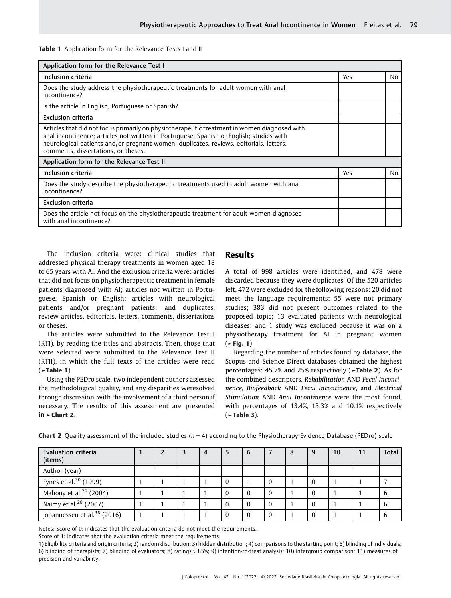#### Table 1 Application form for the Relevance Tests I and II

| Application form for the Relevance Test I                                                                                                                                                                                                                                                                                |     |    |
|--------------------------------------------------------------------------------------------------------------------------------------------------------------------------------------------------------------------------------------------------------------------------------------------------------------------------|-----|----|
| Inclusion criteria                                                                                                                                                                                                                                                                                                       | Yes | No |
| Does the study address the physiotherapeutic treatments for adult women with anal<br>incontinence?                                                                                                                                                                                                                       |     |    |
| Is the article in English, Portuguese or Spanish?                                                                                                                                                                                                                                                                        |     |    |
| <b>Exclusion criteria</b>                                                                                                                                                                                                                                                                                                |     |    |
| Articles that did not focus primarily on physiotherapeutic treatment in women diagnosed with<br>anal incontinence; articles not written in Portuguese, Spanish or English; studies with<br>neurological patients and/or pregnant women; duplicates, reviews, editorials, letters,<br>comments, dissertations, or theses. |     |    |
| Application form for the Relevance Test II                                                                                                                                                                                                                                                                               |     |    |
| Inclusion criteria                                                                                                                                                                                                                                                                                                       | Yes | No |
| Does the study describe the physiotherapeutic treatments used in adult women with anal<br>incontinence?                                                                                                                                                                                                                  |     |    |
| <b>Exclusion criteria</b>                                                                                                                                                                                                                                                                                                |     |    |
| Does the article not focus on the physiotherapeutic treatment for adult women diagnosed<br>with anal incontinence?                                                                                                                                                                                                       |     |    |

The inclusion criteria were: clinical studies that addressed physical therapy treatments in women aged 18 to 65 years with AI. And the exclusion criteria were: articles that did not focus on physiotherapeutic treatment in female patients diagnosed with AI; articles not written in Portuguese, Spanish or English; articles with neurological patients and/or pregnant patients; and duplicates, review articles, editorials, letters, comments, dissertations or theses.

The articles were submitted to the Relevance Test I (RTI), by reading the titles and abstracts. Then, those that were selected were submitted to the Relevance Test II (RTII), in which the full texts of the articles were read  $($   $\blacktriangleright$  Table 1).

Using the PEDro scale, two independent authors assessed the methodological quality, and any disparities weresolved through discussion, with the involvement of a third person if necessary. The results of this assessment are presented in ►Chart 2.

# Results

A total of 998 articles were identified, and 478 were discarded because they were duplicates. Of the 520 articles left, 472 were excluded for the following reasons: 20 did not meet the language requirements; 55 were not primary studies; 383 did not present outcomes related to the proposed topic; 13 evaluated patients with neurological diseases; and 1 study was excluded because it was on a physiotherapy treatment for AI in pregnant women  $($   $\blacktriangleright$  Fig. 1)

Regarding the number of articles found by database, the Scopus and Science Direct databases obtained the highest percentages: 45.7% and 25% respectively (►Table 2). As for the combined descriptors, Rehabilitation AND Fecal Incontinence, Biofeedback AND Fecal Incontinence, and Electrical Stimulation AND Anal Incontinence were the most found, with percentages of 13.4%, 13.3% and 10.1% respectively (►Table 3).

| <b>Evaluation criteria</b><br>(items)   |  | $\overline{4}$ | 6 | -8 | 9        | 10 | 11 | <b>Total</b> |
|-----------------------------------------|--|----------------|---|----|----------|----|----|--------------|
| Author (year)                           |  |                |   |    |          |    |    |              |
| Fynes et al. <sup>30</sup> (1999)       |  |                |   |    | $\Omega$ |    |    |              |
| Mahony et al. $^{29}$ (2004)            |  |                |   |    | $\Omega$ |    |    |              |
| Naimy et al. <sup>28</sup> (2007)       |  |                |   |    | $\Omega$ |    |    |              |
| Johannessen et al. <sup>36</sup> (2016) |  |                |   |    | $\Omega$ |    |    |              |

**Chart 2** Quality assessment of the included studies ( $n = 4$ ) according to the Physiotherapy Evidence Database (PEDro) scale

Notes: Score of 0: indicates that the evaluation criteria do not meet the requirements.

Score of 1: indicates that the evaluation criteria meet the requirements.

1) Eligibility criteria and origin criteria; 2) random distribution; 3) hidden distribution; 4) comparisons to the starting point; 5) blinding of individuals; 6) blinding of therapists; 7) blinding of evaluators; 8) ratings > 85%; 9) intention-to-treat analysis; 10) intergroup comparison; 11) measures of precision and variability.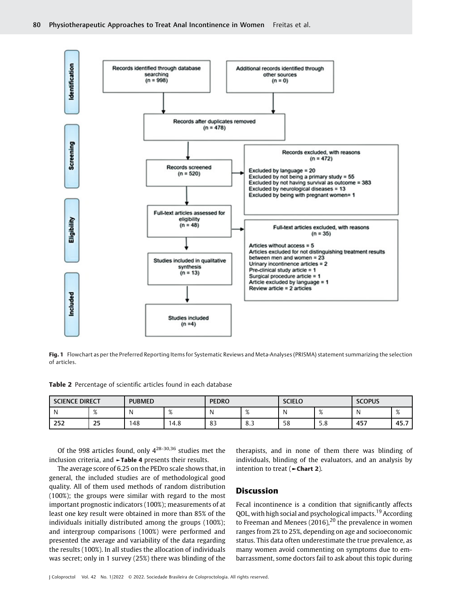

Fig. 1 Flowchart as per the Preferred Reporting Items for Systematic Reviews and Meta-Analyses (PRISMA) statement summarizing the selection of articles.

Table 2 Percentage of scientific articles found in each database

| <b>SCIENCE DIRECT</b> |                        | <b>PUBMED</b> |                | <b>PEDRO</b> |     | <b>SCIELO</b> |                | <b>SCOPUS</b> |                        |
|-----------------------|------------------------|---------------|----------------|--------------|-----|---------------|----------------|---------------|------------------------|
|                       | $\Omega$<br>$\sqrt{2}$ |               | $\Omega$<br>70 |              | 70  |               | $\Omega$<br>70 |               | $\Omega$<br>$\sqrt{2}$ |
| 252                   | 25<br>__               | 48            | 4.8            | ດາ<br>ده     | ر.ه | 58            | г.<br>ه.د      | 457           | 45.7                   |

Of the 998 articles found, only 428-30,36 studies met the inclusion criteria, and ►Table 4 presents their results.

The average score of 6.25 on the PEDro scale shows that, in general, the included studies are of methodological good quality. All of them used methods of random distribution (100%); the groups were similar with regard to the most important prognostic indicators (100%); measurements of at least one key result were obtained in more than 85% of the individuals initially distributed among the groups (100%); and intergroup comparisons (100%) were performed and presented the average and variability of the data regarding the results (100%). In all studies the allocation of individuals was secret; only in 1 survey (25%) there was blinding of the

therapists, and in none of them there was blinding of individuals, blinding of the evaluators, and an analysis by intention to treat (►Chart 2).

### **Discussion**

Fecal incontinence is a condition that significantly affects QOL, with high social and psychological impacts.<sup>19</sup> According to Freeman and Menees (2016),<sup>20</sup> the prevalence in women ranges from 2% to 25%, depending on age and socioeconomic status. This data often underestimate the true prevalence, as many women avoid commenting on symptoms due to embarrassment, some doctors fail to ask about this topic during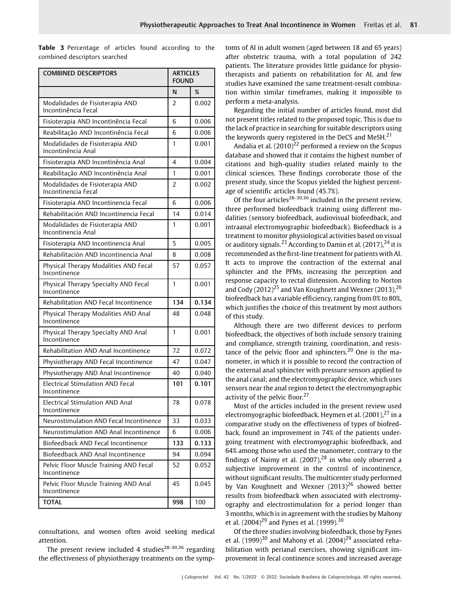Table 3 Percentage of articles found according to the combined descriptors searched

| <b>COMBINED DESCRIPTORS</b>                             | <b>ARTICLES</b><br>FOUND |       |
|---------------------------------------------------------|--------------------------|-------|
|                                                         | N                        | %     |
| Modalidades de Fisioterapia AND<br>Incontinência Fecal  | 2                        | 0.002 |
| Fisioterapia AND Incontinência Fecal                    | 6                        | 0.006 |
| Reabilitação AND Incontinência Fecal                    | 6                        | 0.006 |
| Modalidades de Fisioterapia AND<br>Incontinência Anal   | 1                        | 0.001 |
| Fisioterapia AND Incontinência Anal                     | 4                        | 0.004 |
| Reabilitação AND Incontinência Anal                     | 1                        | 0.001 |
| Modalidades de Fisioterapia AND<br>Incontinencia Fecal  | 2                        | 0.002 |
| Fisioterapia AND Incontinencia Fecal                    | 6                        | 0.006 |
| Rehabilitación AND Incontinencia Fecal                  | 14                       | 0.014 |
| Modalidades de Fisioterapia AND<br>Incontinencia Anal   | 1                        | 0.001 |
| Fisioterapia AND Incontinencia Anal                     | 5                        | 0.005 |
| Rehabilitación AND Incontinencia Anal                   | 8                        | 0.008 |
| Physical Therapy Modalities AND Fecal<br>Incontinence   | 57                       | 0.057 |
| Physical Therapy Specialty AND Fecal<br>Incontinence    | 1                        | 0.001 |
| Rehabilitation AND Fecal Incontinence                   | 134                      | 0.134 |
| Physical Therapy Modalities AND Anal<br>Incontinence    | 48                       | 0.048 |
| Physical Therapy Specialty AND Anal<br>Incontinence     | 1                        | 0.001 |
| Rehabilitation AND Anal Incontinence                    | 72                       | 0.072 |
| Physiotherapy AND Fecal Incontinence                    | 47                       | 0.047 |
| Physiotherapy AND Anal Incontinence                     | 40                       | 0.040 |
| <b>Electrical Stimulation AND Fecal</b><br>Incontinence | 101                      | 0.101 |
| Electrical Stimulation AND Anal<br>Incontinence         | 78                       | 0.078 |
| Neurostimulation AND Fecal Incontinence                 | 33                       | 0.033 |
| Neurostimulation AND Anal Incontinence                  | 6                        | 0.006 |
| Biofeedback AND Fecal Incontinence                      | 133                      | 0.133 |
| Biofeedback AND Anal Incontinence                       | 94                       | 0.094 |
| Pelvic Floor Muscle Training AND Fecal<br>Incontinence  | 52                       | 0.052 |
| Pelvic Floor Muscle Training AND Anal<br>Incontinence   | 45                       | 0.045 |
| <b>TOTAL</b>                                            | 998                      | 100   |

consultations, and women often avoid seeking medical attention.

The present review included 4 studies $28-30,36$  regarding the effectiveness of physiotherapy treatments on the symptoms of AI in adult women (aged between 18 and 65 years) after obstetric trauma, with a total population of 242 patients. The literature provides little guidance for physiotherapists and patients on rehabilitation for AI, and few studies have examined the same treatment-result combination within similar timeframes, making it impossible to perform a meta-analysis.

Regarding the initial number of articles found, most did not present titles related to the proposed topic. This is due to the lack of practice in searching for suitable descriptors using the keywords query registered in the DeCS and MeSH.<sup>21</sup>

Andalia et al.  $(2010)^{22}$  performed a review on the Scopus database and showed that it contains the highest number of citations and high-quality studies related mainly to the clinical sciences. These findings corroborate those of the present study, since the Scopus yielded the highest percentage of scientific articles found (45.7%).

Of the four articles<sup>28-30,36</sup> included in the present review, three performed biofeedback training using different modalities (sensory biofeedback, audiovisual biofeedback, and intraanal electromyographic biofeedback). Biofeedback is a treatment to monitor physiological activities based on visual or auditory signals.<sup>23</sup> According to Damin et al.  $(2017)$ ,<sup>24</sup> it is recommended as the first-line treatment for patients with AI. It acts to improve the contraction of the external anal sphincter and the PFMs, increasing the perception and response capacity to rectal distension. According to Norton and Cody  $(2012)^{25}$  and Van Koughnett and Wexner  $(2013)$ ,  $26$ biofeedback has a variable efficiency, ranging from 0% to 80%, which justifies the choice of this treatment by most authors of this study.

Although there are two different devices to perform biofeedback, the objectives of both include sensory training and compliance, strength training, coordination, and resistance of the pelvic floor and sphincters.<sup>20</sup> One is the manometer, in which it is possible to record the contraction of the external anal sphincter with pressure sensors applied to the anal canal; and the electromyographic device, which uses sensors near the anal region to detect the electromyographic activity of the pelvic floor. $27$ 

Most of the articles included in the present review used electromyographic biofeedback. Heymen et al.  $(2001)$ ,  $^{27}$  in a comparative study on the effectiveness of types of biofeedback, found an improvement in 74% of the patients undergoing treatment with electromyographic biofeedback, and 64% among those who used the manometer, contrary to the findings of Naimy et al.  $(2007)$ ,  $^{28}$  in who only observed a subjective improvement in the control of incontinence, without significant results. The multicenter study performed by Van Koughnett and Wexner  $(2013)^{26}$  showed better results from biofeedback when associated with electromyography and electrostimulation for a period longer than 3 months, which is in agreement with the studies by Mahony et al.  $(2004)^{29}$  and Fynes et al.  $(1999)^{30}$ 

Of the three studies involving biofeedback, those by Fynes et al.  $(1999)^{30}$  and Mahony et al.  $(2004)^{29}$  associated rehabilitation with perianal exercises, showing significant improvement in fecal continence scores and increased average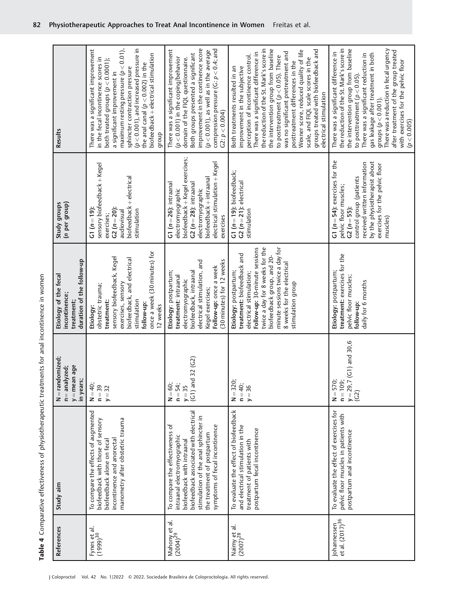Table 4 Comparative effectiveness of physiotherapeutic treatments for anal incontinence in women Table 4 Comparative effectiveness of physiotherapeutic treatments for anal incontinence in women

| References                                 | Study aim                                                                                                                                                                                                                                       | $N =$ randomized;<br>$y =$ mean age<br>n= analyzed;<br>in years;  | duration of the follow-up<br>Etiology of the fecal<br>incontinence;<br>treatment;                                                                                                                                                                                      | (n per group)<br>Study groups                                                                                                                                                                                            | Results                                                                                                                                                                                                                                                                                                                                                                                                                                                                                                   |
|--------------------------------------------|-------------------------------------------------------------------------------------------------------------------------------------------------------------------------------------------------------------------------------------------------|-------------------------------------------------------------------|------------------------------------------------------------------------------------------------------------------------------------------------------------------------------------------------------------------------------------------------------------------------|--------------------------------------------------------------------------------------------------------------------------------------------------------------------------------------------------------------------------|-----------------------------------------------------------------------------------------------------------------------------------------------------------------------------------------------------------------------------------------------------------------------------------------------------------------------------------------------------------------------------------------------------------------------------------------------------------------------------------------------------------|
| ಕ<br>Fynes et a<br>(1999) <sup>30</sup>    | To compare the effects of augmented<br>manometry after obstetric trauma<br>biofeedback with those of sensory<br>incontinence and anorectal<br>biofeedback alone on feca                                                                         | $N = 40;$<br>$n = 39$<br>$y = 32$                                 | once a week (30 minutes) for<br>sensory biofeedback, Kegel<br>biofeedback, and electrical<br>exercises, sensory<br>obstetric trauma;<br>stimulation<br>treatment:<br>follow-up:<br>12 weeks<br>Etiology:                                                               | sensory biofeedback + Kegel<br>biofeedback + electrical<br>$C2(n=20)$ :<br>$C1(n=19)$<br>stimulation<br>audiovisual<br>exercises;                                                                                        | maximum resting pressure ( $p < 0.01$ ),<br>$(p < 0.001)$ , and increased pressure in<br>There was a significant improvement<br>biofeedback + electrical stimulation<br>in the fecal incontinence scores in<br>both treated groups ( $p < 0.0001$ );<br>the anal canal ( $p < 0.002$ ) in the<br>sphincter contraction pressure<br>a significant improvement in<br>group                                                                                                                                  |
| Mahony et al.<br>(2004) <sup>29</sup>      | biofeedback associated with electrical<br>stimulation of the anal sphincter in<br>To compare the effectiveness of<br>symptoms of fecal incontinence<br>the treatment of postpartum<br>intraanal electromyographic<br>biofeedback with intraanal | 32 (G2)<br>$(G1)$ and<br>$N = 60;$<br>$n = 54;$<br>$y = 35$       | (30 minutes) for 12 weeks<br>electrical stimulation, and<br>Follow-up: once a week<br>biofeedback, intraanal<br>Etiology: postpartum;<br>treatment: intraanal<br>electromyographic<br>Keqel exercises;                                                                 | biofeedback + Kegel exercises;<br>electrical stimulation + Kegel<br>biofeedback + intraanal<br>$G1 (n = 26)$ : intraanal<br>$C2(n=28)$ : intraanal<br>electromyographic<br>electromyographic<br>exercises                | improvement in the continence score<br>compression pressure (G: $p < 0.4$ ; and<br>There was a significant improvement<br>$(p < 0.001)$ , as well as in the average<br>Both groups presented a significant<br>$(p < 0.001)$ in the coping/behavior<br>domain of the FIQL questionnaire.<br>$C2: p < 0.004$ )                                                                                                                                                                                              |
| Naimy et al.<br>$(2007)^{28}$              | To evaluate the effect of biofeedback<br>and electrical stimulation in the<br>postpartum fecal incontinence<br>treatment of patients with                                                                                                       | $N = 320;$<br>$n = 40;$<br>$y = 36$                               | minute sessions twice a day for<br>twice a day for 8 weeks for the<br>Follow-up: 30-minute sessions<br>treatment: biofeedback and<br>biofeedback group, and 20-<br>8 weeks for the electrical<br>Etiology: postpartum;<br>electrical stimulation;<br>stimulation group | $G1(n = 19)$ : biofeedback;<br>$G2(n=21)$ : electrical<br>stimulation                                                                                                                                                    | the reduction of the St. Mark's score in<br>the intervention group from baseline<br>groups treated with biofeedback and<br>Wexner score, reduced quality of life<br>There was a significant difference in<br>was no significant pretreatment and<br>perception of incontinence control.<br>to posttreatment ( $p < 0.05$ ). There<br>scale, and FIQL scale scores in the<br>posttreatment differences in the<br>improvement in the subjective<br>Both treatments resulted in an<br>electrical stimulation |
| Johannessen<br>et al. (2017) <sup>36</sup> | To evaluate the effect of exercises for<br>pelvic floor muscles in patients with<br>postpartum anal incontinence                                                                                                                                | $(C1)$ and 30,6<br>$N = 570;$<br>$n = 109;$<br>$y = 29,7$<br>(C2) | treatment: exercises for the<br>Etiology: postpartum;<br>pelvic floor muscles;<br>daily for 6 months<br>follow-up:                                                                                                                                                     | $G1$ ( $n = 54$ ): exercises for the<br>by the physiotherapist about<br>received written information<br>exercises for the pelvic floor<br>control group (patients<br>pelvic floor muscles;<br>$C2(n = 55)$ :<br>muscles) | the reduction of the St. Mark's score in<br>There was a reduction in fecal urgency<br>the intervention group from baseline<br>after treatment of the group treated<br>There was a significant difference in<br>gas leakage after treatment in both<br>There was a significant reduction in<br>with exercises for the pelvic floor<br>to posttreatment ( $p < 0.05$ ).<br>groups $(p < 0.001)$ .<br>(p < 0.005)                                                                                            |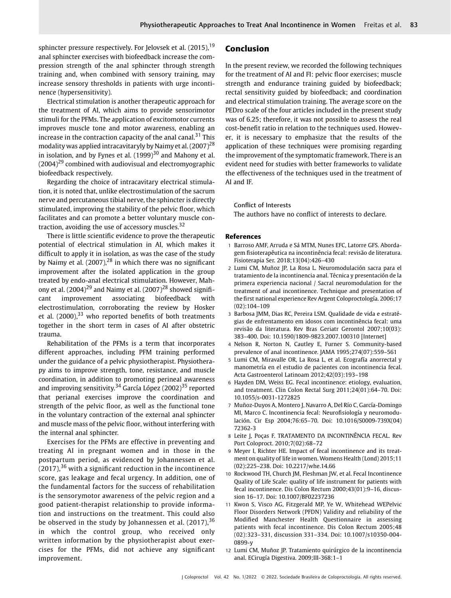sphincter pressure respectively. For Jelovsek et al. (2015), <sup>19</sup> anal sphincter exercises with biofeedback increase the compression strength of the anal sphincter through strength training and, when combined with sensory training, may increase sensory thresholds in patients with urge incontinence (hypersensitivity).

Electrical stimulation is another therapeutic approach for the treatment of AI, which aims to provide sensorimotor stimuli for the PFMs. The application of excitomotor currents improves muscle tone and motor awareness, enabling an increase in the contraction capacity of the anal canal.<sup>31</sup> This modality was applied intracavitaryly by Naimy et al.  $(2007)^{28}$ in isolation, and by Fynes et al.  $(1999)^{30}$  and Mahony et al.  $(2004)^{29}$  combined with audiovisual and electromyographic biofeedback respectively.

Regarding the choice of intracavitary electrical stimulation, it is noted that, unlike electrostimulation of the sacrum nerve and percutaneous tibial nerve, the sphincter is directly stimulated, improving the stability of the pelvic floor, which facilitates and can promote a better voluntary muscle contraction, avoiding the use of accessory muscles.<sup>32</sup>

There is little scientific evidence to prove the therapeutic potential of electrical stimulation in AI, which makes it difficult to apply it in isolation, as was the case of the study by Naimy et al.  $(2007)<sup>28</sup>$  in which there was no significant improvement after the isolated application in the group treated by endo-anal electrical stimulation. However, Mahony et al.  $(2004)^{29}$  and Naimy et al.  $(2007)^{28}$  showed significant improvement associating biofeedback with electrostimulation, corroborating the review by Hosker et al.  $(2000)$ ,  $33$  who reported benefits of both treatments together in the short term in cases of AI after obstetric trauma.

Rehabilitation of the PFMs is a term that incorporates different approaches, including PFM training performed under the guidance of a pelvic physiotherapist. Physiotherapy aims to improve strength, tone, resistance, and muscle coordination, in addition to promoting perineal awareness and improving sensitivity.<sup>34</sup> García López (2002)<sup>35</sup> reported that perianal exercises improve the coordination and strength of the pelvic floor, as well as the functional tone in the voluntary contraction of the external anal sphincter and muscle mass of the pelvic floor, without interfering with the internal anal sphincter.

Exercises for the PFMs are effective in preventing and treating AI in pregnant women and in those in the postpartum period, as evidenced by Johannessen et al.  $(2017)$ ,  $36$  with a significant reduction in the incontinence score, gas leakage and fecal urgency. In addition, one of the fundamental factors for the success of rehabilitation is the sensorymotor awareness of the pelvic region and a good patient-therapist relationship to provide information and instructions on the treatment. This could also be observed in the study by Johannessen et al.  $(2017)^{36}$ in which the control group, who received only written information by the physiotherapist about exercises for the PFMs, did not achieve any significant improvement.

# Conclusion

In the present review, we recorded the following techniques for the treatment of AI and FI: pelvic floor exercises; muscle strength and endurance training guided by biofeedback; rectal sensitivity guided by biofeedback; and coordination and electrical stimulation training. The average score on the PEDro scale of the four articles included in the present study was of 6.25; therefore, it was not possible to assess the real cost-benefit ratio in relation to the techniques used. However, it is necessary to emphasize that the results of the application of these techniques were promising regarding the improvement of the symptomatic framework. There is an evident need for studies with better frameworks to validate the effectiveness of the techniques used in the treatment of AI and IF.

#### Conflict of Interests

The authors have no conflict of interests to declare.

#### References

- 1 Barroso AMF, Arruda e Sá MTM, Nunes EFC, Latorre GFS. Abordagem fisioterapêutica na incontinência fecal: revisão de literatura. Fisioterapia Ser. 2018;13(04):426–430
- 2 Lumi CM, Muñoz JP, La Rosa L. Neuromodulación sacra para el tratamiento de la incontinencia anal. Técnica y presentación de la primera experiencia nacional / Sacral neuromodulation for the treatment of anal incontinence. Technique and presentation of the first national experience Rev Argent Coloproctología. 2006;17 (02):104–109
- 3 Barbosa JMM, Dias RC, Pereira LSM. Qualidade de vida e estratégias de enfrentamento em idosos com incontinência fecal: uma revisão da literatura. Rev Bras Geriatr Gerontol 2007;10(03): 383–400. Doi: 10.1590/1809-9823.2007.100310 [Internet]
- 4 Nelson R, Norton N, Cautley E, Furner S. Community-based prevalence of anal incontinence. JAMA 1995;274(07):559–561
- 5 Lumi CM, Miravalle OR, La Rosa L, et al. Ecografía anorrectal y manometría en el estudio de pacientes con incontinencia fecal. Acta Gastroenterol Latinoam 2012;42(03):193–198
- 6 Hayden DM, Weiss EG. Fecal incontinence: etiology, evaluation, and treatment. Clin Colon Rectal Surg 2011;24(01):64–70. Doi: 10.1055/s-0031-1272825
- 7 Muñoz-Duyos A, Montero J, Navarro A, Del Río C, García-Domingo MI, Marco C. Incontinencia fecal: Neurofisiología y neuromodulación. Cir Esp 2004;76:65–70. Doi: 10.1016/S0009-739X(04) 72362-3
- 8 Leite J, Poças F. TRATAMENTO DA INCONTINÊNCIA FECAL. Rev Port Coloproct. 2010;7(02):68–72
- 9 Meyer I, Richter HE. Impact of fecal incontinence and its treatment on quality of life in women. Womens Health (Lond) 2015;11 (02):225–238. Doi: 10.2217/whe.14.66
- 10 Rockwood TH, Church JM, Fleshman JW, et al. Fecal Incontinence Quality of Life Scale: quality of life instrument for patients with fecal incontinence. Dis Colon Rectum 2000;43(01):9–16, discussion 16–17. Doi: 10.1007/BF02237236
- 11 Kwon S, Visco AG, Fitzgerald MP, Ye W, Whitehead WEPelvic Floor Disorders Network (PFDN) Validity and reliability of the Modified Manchester Health Questionnaire in assessing patients with fecal incontinence. Dis Colon Rectum 2005;48 (02):323–331, discussion 331–334. Doi: 10.1007/s10350-004- 0899-y
- 12 Lumi CM, Muñoz JP. Tratamiento quirúrgico de la incontinencia anal. ECirugía Digestiva. 2009;III-368:1–1